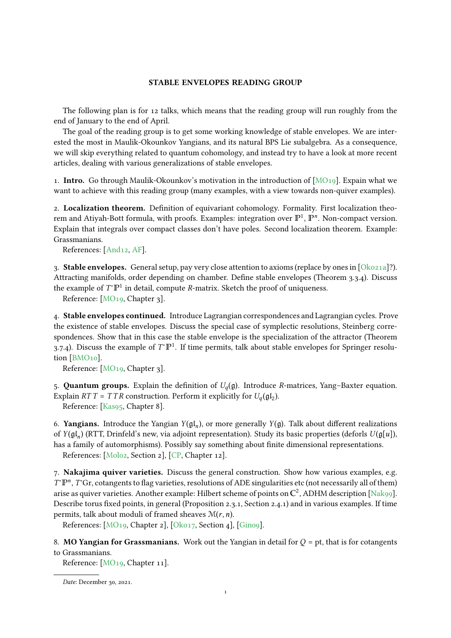## STABLE ENVELOPES READING GROUP

The following plan is for 12 talks, which means that the reading group will run roughly from the end of January to the end of April.

The goal of the reading group is to get some working knowledge of stable envelopes. We are interested the most in Maulik-Okounkov Yangians, and its natural BPS Lie subalgebra. As a consequence, we will skip everything related to quantum cohomology, and instead try to have a look at more recent articles, dealing with various generalizations of stable envelopes.

1. Intro. Go through Maulik-Okounkov's motivation in the introduction of [\[MO19\]](#page-2-0). Expain what we want to achieve with this reading group (many examples, with a view towards non-quiver examples).

2. Localization theorem. Definition of equivariant cohomology. Formality. First localization theorem and Atiyah-Bott formula, with proofs. Examples: integration over  $\mathbb{P}^1$ ,  $\mathbb{P}^n$ . Non-compact version. Explain that integrals over compact classes don't have poles. Second localization theorem. Example: Grassmanians.

References: [\[And12,](#page-2-1) [AF\]](#page-2-2).

3. Stable envelopes. General setup, pay very close attention to axioms (replace by ones in  $\lceil \text{Okozua} \rceil$ ?). Attracting manifolds, order depending on chamber. Define stable envelopes (Theorem 3.3.4). Discuss the example of  $T^*\mathbb{P}^1$  in detail, compute  $R$ -matrix. Sketch the proof of uniqueness.

Reference: [\[MO19,](#page-2-0) Chapter 3].

4. Stable envelopes continued. Introduce Lagrangian correspondences and Lagrangian cycles. Prove the existence of stable envelopes. Discuss the special case of symplectic resolutions, Steinberg correspondences. Show that in this case the stable envelope is the specialization of the attractor (Theorem 3.7.4). Discuss the example of  $T^{\ast} \mathbb{P}^{1}$ . If time permits, talk about stable envelopes for Springer resolution [\[BMO10\]](#page-2-4).

Reference: [\[MO19,](#page-2-0) Chapter 3].

5. Quantum groups. Explain the definition of  $U_q(\mathfrak{g})$ . Introduce *R*-matrices, Yang–Baxter equation. Explain  $RTT = TTR$  construction. Perform it explicitly for  $U_q(\mathfrak{gl}_2)$ .

Reference: [\[Kas95,](#page-2-5) Chapter 8].

6. Yangians. Introduce the Yangian  $Y(\mathfrak{gl}_n)$ , or more generally  $Y(\mathfrak{g})$ . Talk about different realizations of  $Y(\mathfrak{gl}_n)$  (RTT, Drinfeld's new, via adjoint representation). Study its basic properties (deforls  $U(\mathfrak{gl}[u])$ , has a family of automorphisms). Possibly say something about finite dimensional representations.

References: [\[Mol02,](#page-2-6) Section 2], [\[CP,](#page-2-7) Chapter 12].

7. Nakajima quiver varieties. Discuss the general construction. Show how various examples, e.g. T<sup>\*</sup>P<sup>n</sup>, T<sup>\*</sup>Gr, cotangents to flag varieties, resolutions of ADE singularities etc (not necessarily all of them) arise as quiver varieties. Another example: Hilbert scheme of points on **C**<sup>2</sup> , ADHM description [\[Nak99\]](#page-2-8). Describe torus fixed points, in general (Proposition 2.3.1, Section 2.4.1) and in various examples. If time permits, talk about moduli of framed sheaves  $\mathcal{M}(r, n)$ .

References: [\[MO19,](#page-2-0) Chapter 2], [\[Oko17,](#page-2-9) Section 4], [\[Gin09\]](#page-2-10).

8. **MO Yangian for Grassmanians.** Work out the Yangian in detail for  $Q = pt$ , that is for cotangents to Grassmanians.

Reference: [\[MO19,](#page-2-0) Chapter 11].

Date: December 30, 2021.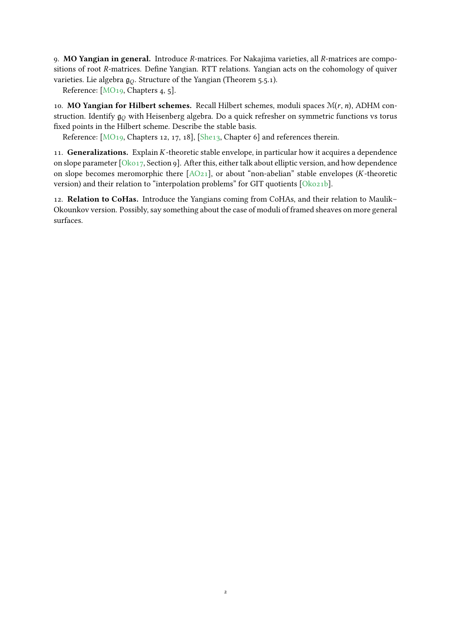9. MO Yangian in general. Introduce R-matrices. For Nakajima varieties, all R-matrices are compositions of root R-matrices. Define Yangian. RTT relations. Yangian acts on the cohomology of quiver varieties. Lie algebra  $g_O$ . Structure of the Yangian (Theorem 5.5.1).

Reference: [\[MO19,](#page-2-0) Chapters 4, 5].

10. MO Yangian for Hilbert schemes. Recall Hilbert schemes, moduli spaces  $\mathcal{M}(r, n)$ , ADHM construction. Identify  $\mathfrak{g}_0$  with Heisenberg algebra. Do a quick refresher on symmetric functions vs torus fixed points in the Hilbert scheme. Describe the stable basis.

Reference: [\[MO19,](#page-2-0) Chapters 12, 17, 18], [\[She13,](#page-2-11) Chapter 6] and references therein.

11. Generalizations. Explain K-theoretic stable envelope, in particular how it acquires a dependence on slope parameter [\[Oko17,](#page-2-9) Section 9]. After this, either talk about elliptic version, and how dependence on slope becomes meromorphic there  $[AO_{21}]$ , or about "non-abelian" stable envelopes (*K*-theoretic version) and their relation to "interpolation problems" for GIT quotients [\[Oko21b\]](#page-2-13).

12. Relation to CoHas. Introduce the Yangians coming from CoHAs, and their relation to Maulik– Okounkov version. Possibly, say something about the case of moduli of framed sheaves on more general surfaces.